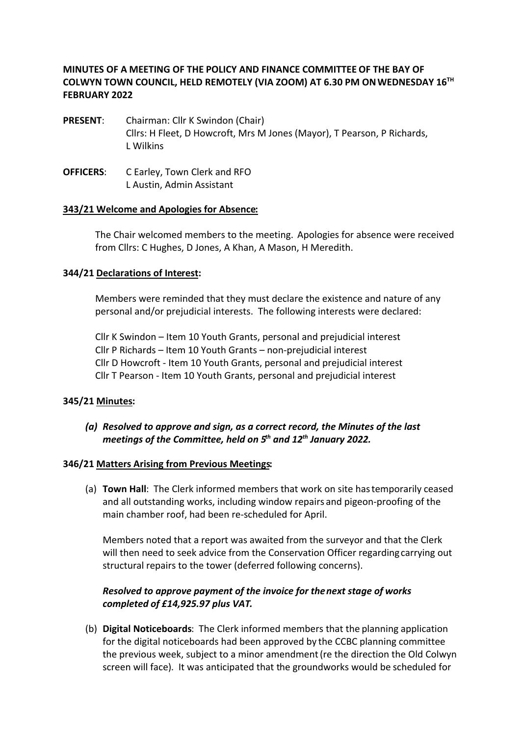## **MINUTES OF A MEETING OF THE POLICY AND FINANCE COMMITTEE OF THE BAY OF COLWYN TOWN COUNCIL, HELD REMOTELY (VIA ZOOM) AT 6.30 PM ON WEDNESDAY 16TH FEBRUARY 2022**

- **PRESENT**: Chairman: Cllr K Swindon (Chair) Cllrs: H Fleet, D Howcroft, Mrs M Jones (Mayor), T Pearson, P Richards, L Wilkins
- **OFFICERS**: C Earley, Town Clerk and RFO L Austin, Admin Assistant

#### **343/21 Welcome and Apologies for Absence:**

The Chair welcomed members to the meeting. Apologies for absence were received from Cllrs: C Hughes, D Jones, A Khan, A Mason, H Meredith.

#### **344/21 Declarations of Interest:**

Members were reminded that they must declare the existence and nature of any personal and/or prejudicial interests. The following interests were declared:

Cllr K Swindon – Item 10 Youth Grants, personal and prejudicial interest Cllr P Richards – Item 10 Youth Grants – non-prejudicial interest Cllr D Howcroft - Item 10 Youth Grants, personal and prejudicial interest Cllr T Pearson - Item 10 Youth Grants, personal and prejudicial interest

#### **345/21 Minutes:**

## *(a) Resolved to approve and sign, as a correct record, the Minutes of the last meetings of the Committee, held on 5th and 12th January 2022.*

#### **346/21 Matters Arising from Previous Meetings:**

(a) **Town Hall**: The Clerk informed members that work on site hastemporarily ceased and all outstanding works, including window repairs and pigeon-proofing of the main chamber roof, had been re-scheduled for April.

Members noted that a report was awaited from the surveyor and that the Clerk will then need to seek advice from the Conservation Officer regarding carrying out structural repairs to the tower (deferred following concerns).

# *Resolved to approve payment of the invoice for the next stage of works completed of £14,925.97 plus VAT.*

(b) **Digital Noticeboards**: The Clerk informed members that the planning application for the digital noticeboards had been approved by the CCBC planning committee the previous week, subject to a minor amendment (re the direction the Old Colwyn screen will face). It was anticipated that the groundworks would be scheduled for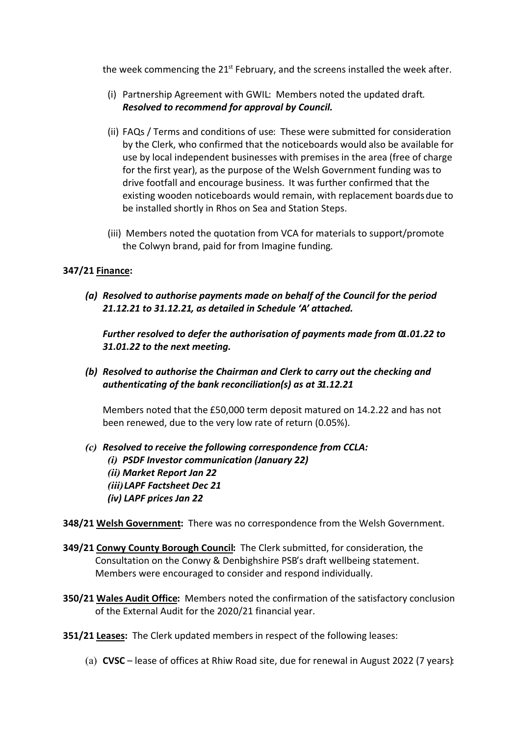the week commencing the 21<sup>st</sup> February, and the screens installed the week after.

- (i) Partnership Agreement with GWIL: Members noted the updated draft. *Resolved to recommend for approval by Council.*
- (ii) FAQs / Terms and conditions of use: These were submitted for consideration by the Clerk, who confirmed that the noticeboards would also be available for use by local independent businesses with premises in the area (free of charge for the first year), as the purpose of the Welsh Government funding was to drive footfall and encourage business. It was further confirmed that the existing wooden noticeboards would remain, with replacement boards due to be installed shortly in Rhos on Sea and Station Steps.
- (iii) Members noted the quotation from VCA for materials to support/promote the Colwyn brand, paid for from Imagine funding.

## **347/21 Finance:**

*(a) Resolved to authorise payments made on behalf of the Council for the period 21.12.21 to 31.12.21, as detailed in Schedule 'A' attached.* 

*Further resolved to defer the authorisation of payments made from 01.01.22 to 31.01.22 to the next meeting.* 

*(b) Resolved to authorise the Chairman and Clerk to carry out the checking and authenticating of the bank reconciliation(s) as at 31.12.21* 

Members noted that the £50,000 term deposit matured on 14.2.22 and has not been renewed, due to the very low rate of return (0.05%).

*(c) Resolved to receive the following correspondence from CCLA: (i) PSDF Investor communication (January 22) (ii) Market Report Jan 22 (iii) LAPF Factsheet Dec 21 (iv) LAPF prices Jan 22*

**348/21 Welsh Government:** There was no correspondence from the Welsh Government.

- **349/21 Conwy County Borough Council:** The Clerk submitted, for consideration, the Consultation on the Conwy & Denbighshire PSB's draft wellbeing statement. Members were encouraged to consider and respond individually.
- **350/21 Wales Audit Office:** Members noted the confirmation of the satisfactory conclusion of the External Audit for the 2020/21 financial year.
- **351/21 Leases:** The Clerk updated members in respect of the following leases:
	- (a) **CVSC** lease of offices at Rhiw Road site, due for renewal in August 2022 (7 years):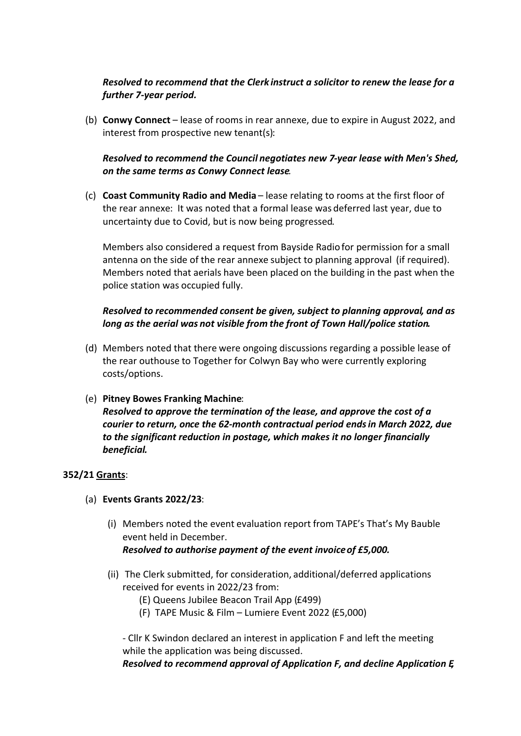## *Resolved to recommend that the Clerk instruct a solicitor to renew the lease for a further 7-year period.*

(b) **Conwy Connect** – lease of rooms in rear annexe, due to expire in August 2022, and interest from prospective new tenant(s):

## *Resolved to recommend the Council negotiates new 7-year lease with Men's Shed, on the same terms as Conwy Connect lease.*

(c) **Coast Community Radio and Media** – lease relating to rooms at the first floor of the rear annexe: It was noted that a formal lease was deferred last year, due to uncertainty due to Covid, but is now being progressed*.* 

Members also considered a request from Bayside Radio for permission for a small antenna on the side of the rear annexe subject to planning approval (if required). Members noted that aerials have been placed on the building in the past when the police station was occupied fully.

## *Resolved to recommended consent be given, subject to planning approval, and as long as the aerial was not visible from the front of Town Hall/police station.*

- (d) Members noted that there were ongoing discussions regarding a possible lease of the rear outhouse to Together for Colwyn Bay who were currently exploring costs/options.
- (e) **Pitney Bowes Franking Machine**: *Resolved to approve the termination of the lease, and approve the cost of a courier to return, once the 62-month contractual period ends in March 2022, due to the significant reduction in postage, which makes it no longer financially beneficial.*

#### **352/21 Grants**:

- (a) **Events Grants 2022/23**:
	- (i) Members noted the event evaluation report from TAPE's That's My Bauble event held in December. *Resolved to authorise payment of the event invoice of £5,000.*
	- (ii) The Clerk submitted, for consideration, additional/deferred applications received for events in 2022/23 from:
		- (E) Queens Jubilee Beacon Trail App (£499)
		- (F) TAPE Music & Film Lumiere Event 2022 (£5,000)

- Cllr K Swindon declared an interest in application F and left the meeting while the application was being discussed.

*Resolved to recommend approval of Application F, and decline Application E,*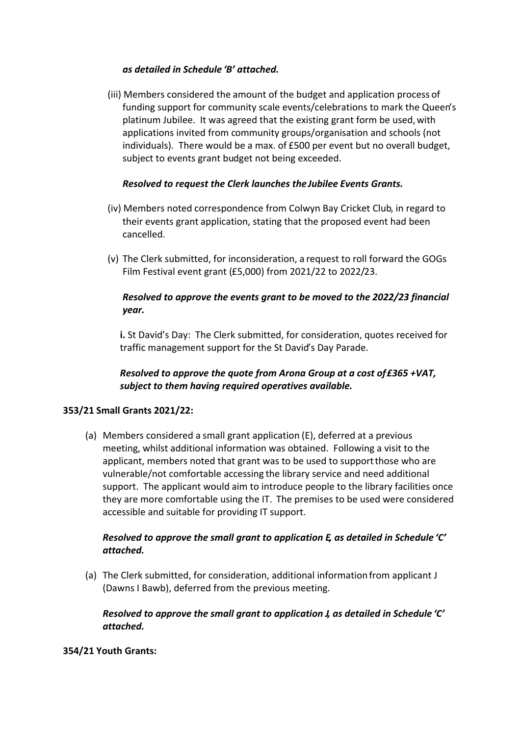#### *as detailed in Schedule 'B' attached.*

(iii) Members considered the amount of the budget and application process of funding support for community scale events/celebrations to mark the Queen's platinum Jubilee. It was agreed that the existing grant form be used, with applications invited from community groups/organisation and schools (not individuals). There would be a max. of £500 per event but no overall budget, subject to events grant budget not being exceeded.

### *Resolved to request the Clerk launches the Jubilee Events Grants.*

- (iv) Members noted correspondence from Colwyn Bay Cricket Club, in regard to their events grant application, stating that the proposed event had been cancelled.
- (v) The Clerk submitted, for inconsideration, a request to roll forward the GOGs Film Festival event grant (£5,000) from 2021/22 to 2022/23.

## *Resolved to approve the events grant to be moved to the 2022/23 financial year.*

**i.** St David's Day: The Clerk submitted, for consideration, quotes received for traffic management support for the St David's Day Parade.

# *Resolved to approve the quote from Arona Group at a cost of £365 +VAT, subject to them having required operatives available.*

## **353/21 Small Grants 2021/22:**

(a) Members considered a small grant application (E), deferred at a previous meeting, whilst additional information was obtained. Following a visit to the applicant, members noted that grant was to be used to support those who are vulnerable/not comfortable accessing the library service and need additional support. The applicant would aim to introduce people to the library facilities once they are more comfortable using the IT. The premises to be used were considered accessible and suitable for providing IT support.

## *Resolved to approve the small grant to application E, as detailed in Schedule 'C' attached.*

(a) The Clerk submitted, for consideration, additional informationfrom applicant J (Dawns I Bawb), deferred from the previous meeting.

## *Resolved to approve the small grant to application J, as detailed in Schedule 'C' attached.*

## **354/21 Youth Grants:**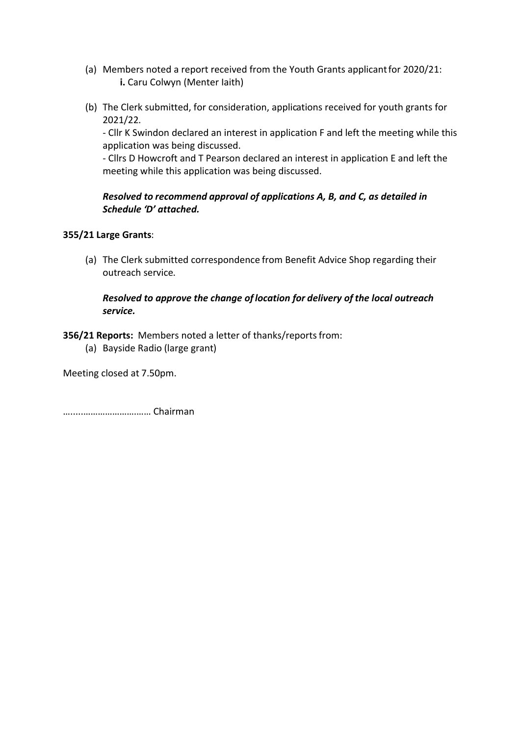- (a) Members noted a report received from the Youth Grants applicantfor 2020/21: **i.** Caru Colwyn (Menter Iaith)
- (b) The Clerk submitted, for consideration, applications received for youth grants for 2021/22.

- Cllr K Swindon declared an interest in application F and left the meeting while this application was being discussed.

- Cllrs D Howcroft and T Pearson declared an interest in application E and left the meeting while this application was being discussed.

## *Resolved to recommend approval of applications A, B, and C, as detailed in Schedule 'D' attached.*

## **355/21 Large Grants**:

(a) The Clerk submitted correspondence from Benefit Advice Shop regarding their outreach service.

## *Resolved to approve the change of location for delivery of the local outreach service.*

## **356/21 Reports:** Members noted a letter of thanks/reports from:

(a) Bayside Radio (large grant)

Meeting closed at 7.50pm.

….....………………….…… Chairman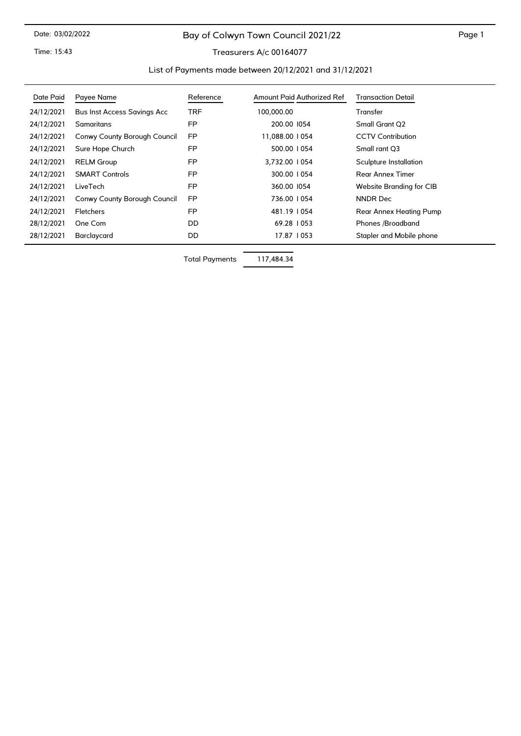# Bay of Colwyn Town Council 2021/22

Time: 15:43

#### Treasurers A/c 00164077

#### List of Payments made between 20/12/2021 and 31/12/2021

| Date Paid  | Payee Name                         | Reference  | Amount Paid Authorized Ref | <b>Transaction Detail</b> |
|------------|------------------------------------|------------|----------------------------|---------------------------|
| 24/12/2021 | <b>Bus Inst Access Savings Acc</b> | <b>TRF</b> | 100,000.00                 | Transfer                  |
| 24/12/2021 | Samaritans                         | <b>FP</b>  | 200.00 1054                | <b>Small Grant Q2</b>     |
| 24/12/2021 | Conwy County Borough Council       | <b>FP</b>  | 11,088.00   054            | <b>CCTV Contribution</b>  |
| 24/12/2021 | Sure Hope Church                   | <b>FP</b>  | 500.00   054               | Small rant Q3             |
| 24/12/2021 | <b>RELM Group</b>                  | <b>FP</b>  | 3.732.00   054             | Sculpture Installation    |
| 24/12/2021 | <b>SMART Controls</b>              | <b>FP</b>  | 300.00   054               | <b>Rear Annex Timer</b>   |
| 24/12/2021 | LiveTech                           | <b>FP</b>  | 360.00 1054                | Website Branding for CIB  |
| 24/12/2021 | Conwy County Borough Council       | <b>FP</b>  | 736.00   054               | <b>NNDR Dec</b>           |
| 24/12/2021 | <b>Fletchers</b>                   | <b>FP</b>  | 481.19   054               | Rear Annex Heating Pump   |
| 28/12/2021 | One Com                            | DD.        | 69.28   053                | Phones /Broadband         |
| 28/12/2021 | Barclaycard                        | DD         | 17.87   053                | Stapler and Mobile phone  |

Total Payments 117,484.34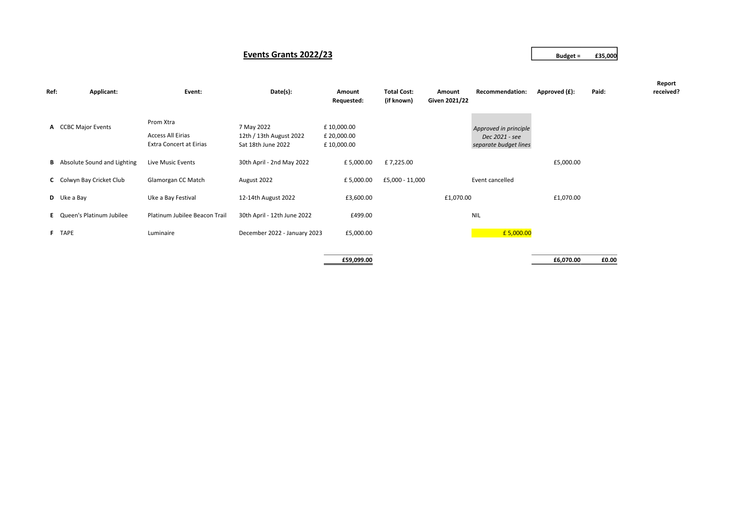#### **Events Grants 2022/23 Budget = £35,000**

| Ref: | Applicant:                           | Event:                                                                  | Date(s):                                                    | Amount<br>Requested:                    | <b>Total Cost:</b><br>(if known) | Amount<br>Given 2021/22 | Recommendation:                                                  | Approved (£): | Paid: | Report<br>received? |
|------|--------------------------------------|-------------------------------------------------------------------------|-------------------------------------------------------------|-----------------------------------------|----------------------------------|-------------------------|------------------------------------------------------------------|---------------|-------|---------------------|
|      | A CCBC Major Events                  | Prom Xtra<br><b>Access All Eirias</b><br><b>Extra Concert at Eirias</b> | 7 May 2022<br>12th / 13th August 2022<br>Sat 18th June 2022 | £10,000.00<br>£ 20,000.00<br>£10,000.00 |                                  |                         | Approved in principle<br>Dec 2021 - see<br>separate budget lines |               |       |                     |
|      | <b>B</b> Absolute Sound and Lighting | Live Music Events                                                       | 30th April - 2nd May 2022                                   | £5,000.00                               | £7,225.00                        |                         |                                                                  | £5,000.00     |       |                     |
|      | C Colwyn Bay Cricket Club            | Glamorgan CC Match                                                      | August 2022                                                 | £5,000.00                               | £5,000 - 11,000                  |                         | Event cancelled                                                  |               |       |                     |
|      | $D$ Uke a Bay                        | Uke a Bay Festival                                                      | 12-14th August 2022                                         | £3,600.00                               |                                  | £1,070.00               |                                                                  | £1,070.00     |       |                     |
|      | E Queen's Platinum Jubilee           | Platinum Jubilee Beacon Trail                                           | 30th April - 12th June 2022                                 | £499.00                                 |                                  |                         | <b>NIL</b>                                                       |               |       |                     |
|      | F TAPE                               | Luminaire                                                               | December 2022 - January 2023                                | £5,000.00                               |                                  |                         | £5,000.00                                                        |               |       |                     |
|      |                                      |                                                                         |                                                             | £59,099.00                              |                                  |                         |                                                                  | £6,070.00     | £0.00 |                     |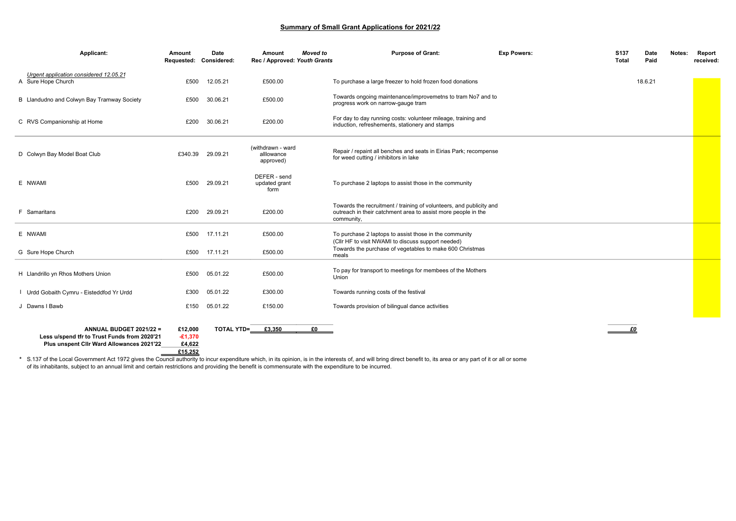#### **Summary of Small Grant Applications for 2021/22**

| Applicant:                                                                                                           | Amount<br>Requested: Considered:          | Date     | Amount<br>Rec / Approved: Youth Grants       | <b>Moved</b> to | <b>Purpose of Grant:</b>                                                                                                                           | <b>Exp Powers:</b> | S137<br><b>Total</b> | Date<br>Paid | Notes: | Report<br>received: |
|----------------------------------------------------------------------------------------------------------------------|-------------------------------------------|----------|----------------------------------------------|-----------------|----------------------------------------------------------------------------------------------------------------------------------------------------|--------------------|----------------------|--------------|--------|---------------------|
| Urgent application considered 12.05.21<br>A Sure Hope Church                                                         | £500                                      | 12.05.21 | £500.00                                      |                 | To purchase a large freezer to hold frozen food donations                                                                                          |                    |                      | 18.6.21      |        |                     |
| B Llandudno and Colwyn Bay Tramway Society                                                                           | £500                                      | 30.06.21 | £500.00                                      |                 | Towards ongoing maintenance/improvemetns to tram No7 and to<br>progress work on narrow-gauge tram                                                  |                    |                      |              |        |                     |
| C RVS Companionship at Home                                                                                          | £200                                      | 30.06.21 | £200.00                                      |                 | For day to day running costs: volunteer mileage, training and<br>induction, refreshements, stationery and stamps                                   |                    |                      |              |        |                     |
| D Colwyn Bay Model Boat Club                                                                                         | £340.39                                   | 29.09.21 | (withdrawn - ward<br>alllowance<br>approved) |                 | Repair / repaint all benches and seats in Eirias Park; recompense<br>for weed cutting / inhibitors in lake                                         |                    |                      |              |        |                     |
| E NWAMI                                                                                                              | £500                                      | 29.09.21 | DEFER - send<br>updated grant<br>form        |                 | To purchase 2 laptops to assist those in the community                                                                                             |                    |                      |              |        |                     |
| <b>F</b> Samaritans                                                                                                  | £200                                      | 29.09.21 | £200.00                                      |                 | Towards the recruitment / training of volunteers, and publicity and<br>outreach in their catchment area to assist more people in the<br>community, |                    |                      |              |        |                     |
| E NWAMI                                                                                                              | £500                                      | 17.11.21 | £500.00                                      |                 | To purchase 2 laptops to assist those in the community<br>(CIIr HF to visit NWAMI to discuss support needed)                                       |                    |                      |              |        |                     |
| G Sure Hope Church                                                                                                   | £500                                      | 17.11.21 | £500.00                                      |                 | Towards the purchase of vegetables to make 600 Christmas<br>meals                                                                                  |                    |                      |              |        |                     |
| H Llandrillo yn Rhos Mothers Union                                                                                   | £500                                      | 05.01.22 | £500.00                                      |                 | To pay for transport to meetings for membees of the Mothers<br>Union                                                                               |                    |                      |              |        |                     |
| Urdd Gobaith Cymru - Eisteddfod Yr Urdd                                                                              | £300                                      | 05.01.22 | £300.00                                      |                 | Towards running costs of the festival                                                                                                              |                    |                      |              |        |                     |
| J Dawns I Bawb                                                                                                       | £150                                      | 05.01.22 | £150.00                                      |                 | Towards provision of bilingual dance activities                                                                                                    |                    |                      |              |        |                     |
| ANNUAL BUDGET 2021/22 =<br>Less u/spend tfr to Trust Funds from 2020'21<br>Plus unspent Clir Ward Allowances 2021'22 | £12,000<br>$-£1,370$<br>£4,622<br>£15,252 |          | TOTAL YTD= £3,350                            | £0              |                                                                                                                                                    |                    | £O                   |              |        |                     |

**\*** S.137 of the Local Government Act 1972 gives the Council authority to incur expenditure which, in its opinion, is in the interests of, and will bring direct benefit to, its area or any part of it or all or some of its inhabitants, subject to an annual limit and certain restrictions and providing the benefit is commensurate with the expenditure to be incurred.